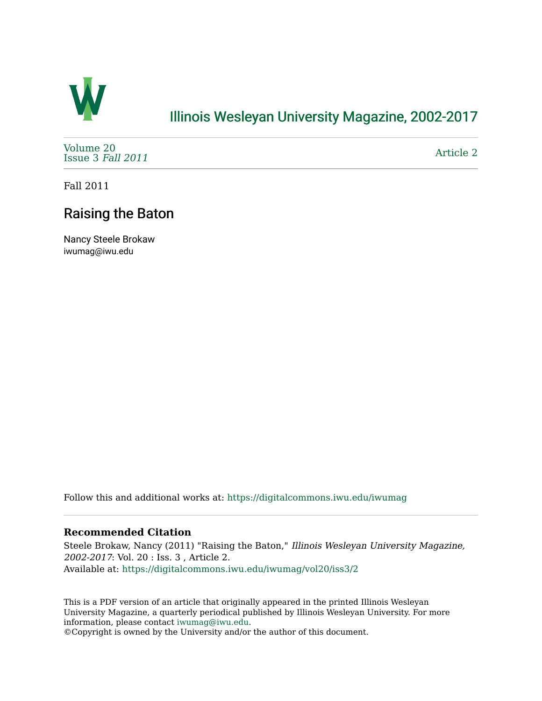

### [Illinois Wesleyan University Magazine, 2002-2017](https://digitalcommons.iwu.edu/iwumag)

[Volume 20](https://digitalcommons.iwu.edu/iwumag/vol20)  [Issue 3](https://digitalcommons.iwu.edu/iwumag/vol20/iss3) Fall 2011

[Article 2](https://digitalcommons.iwu.edu/iwumag/vol20/iss3/2) 

Fall 2011

## Raising the Baton

Nancy Steele Brokaw iwumag@iwu.edu

Follow this and additional works at: [https://digitalcommons.iwu.edu/iwumag](https://digitalcommons.iwu.edu/iwumag?utm_source=digitalcommons.iwu.edu%2Fiwumag%2Fvol20%2Fiss3%2F2&utm_medium=PDF&utm_campaign=PDFCoverPages) 

#### **Recommended Citation**

Steele Brokaw, Nancy (2011) "Raising the Baton," Illinois Wesleyan University Magazine, 2002-2017: Vol. 20 : Iss. 3 , Article 2. Available at: [https://digitalcommons.iwu.edu/iwumag/vol20/iss3/2](https://digitalcommons.iwu.edu/iwumag/vol20/iss3/2?utm_source=digitalcommons.iwu.edu%2Fiwumag%2Fvol20%2Fiss3%2F2&utm_medium=PDF&utm_campaign=PDFCoverPages)

This is a PDF version of an article that originally appeared in the printed Illinois Wesleyan University Magazine, a quarterly periodical published by Illinois Wesleyan University. For more information, please contact [iwumag@iwu.edu](mailto:iwumag@iwu.edu).

©Copyright is owned by the University and/or the author of this document.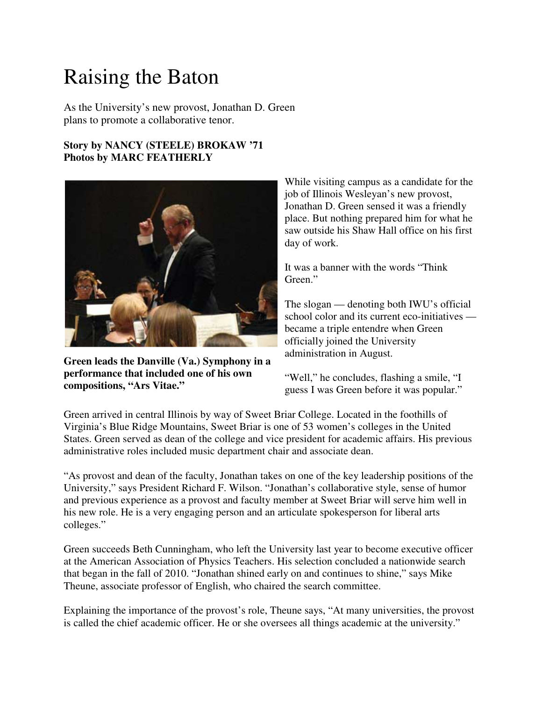# Raising the Baton

As the University's new provost, Jonathan D. Green plans to promote a collaborative tenor.

#### **Story by NANCY (STEELE) BROKAW '71 Photos by MARC FEATHERLY**



**Green leads the Danville (Va.) Symphony in a performance that included one of his own compositions, "Ars Vitae."**

While visiting campus as a candidate for the job of Illinois Wesleyan's new provost, Jonathan D. Green sensed it was a friendly place. But nothing prepared him for what he saw outside his Shaw Hall office on his first day of work.

It was a banner with the words "Think Green."

The slogan — denoting both IWU's official school color and its current eco-initiatives became a triple entendre when Green officially joined the University administration in August.

"Well," he concludes, flashing a smile, "I guess I was Green before it was popular."

Green arrived in central Illinois by way of Sweet Briar College. Located in the foothills of Virginia's Blue Ridge Mountains, Sweet Briar is one of 53 women's colleges in the United States. Green served as dean of the college and vice president for academic affairs. His previous administrative roles included music department chair and associate dean.

"As provost and dean of the faculty, Jonathan takes on one of the key leadership positions of the University," says President Richard F. Wilson. "Jonathan's collaborative style, sense of humor and previous experience as a provost and faculty member at Sweet Briar will serve him well in his new role. He is a very engaging person and an articulate spokesperson for liberal arts colleges."

Green succeeds Beth Cunningham, who left the University last year to become executive officer at the American Association of Physics Teachers. His selection concluded a nationwide search that began in the fall of 2010. "Jonathan shined early on and continues to shine," says Mike Theune, associate professor of English, who chaired the search committee.

Explaining the importance of the provost's role, Theune says, "At many universities, the provost is called the chief academic officer. He or she oversees all things academic at the university."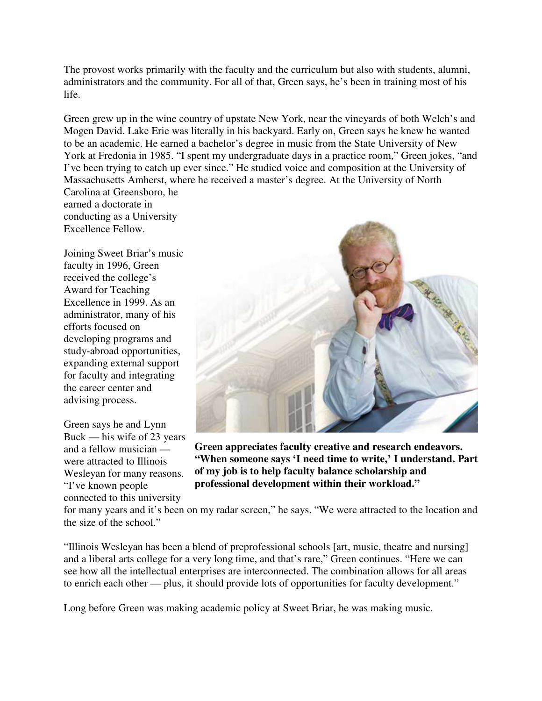The provost works primarily with the faculty and the curriculum but also with students, alumni, administrators and the community. For all of that, Green says, he's been in training most of his life.

Green grew up in the wine country of upstate New York, near the vineyards of both Welch's and Mogen David. Lake Erie was literally in his backyard. Early on, Green says he knew he wanted to be an academic. He earned a bachelor's degree in music from the State University of New York at Fredonia in 1985. "I spent my undergraduate days in a practice room," Green jokes, "and I've been trying to catch up ever since." He studied voice and composition at the University of Massachusetts Amherst, where he received a master's degree. At the University of North Carolina at Greensboro, he

earned a doctorate in conducting as a University Excellence Fellow.

Joining Sweet Briar's music faculty in 1996, Green received the college's Award for Teaching Excellence in 1999. As an administrator, many of his efforts focused on developing programs and study-abroad opportunities, expanding external support for faculty and integrating the career center and advising process.

Green says he and Lynn Buck — his wife of 23 years and a fellow musician were attracted to Illinois Wesleyan for many reasons. "I've known people connected to this university



**Green appreciates faculty creative and research endeavors. "When someone says 'I need time to write,' I understand. Part of my job is to help faculty balance scholarship and professional development within their workload."**

for many years and it's been on my radar screen," he says. "We were attracted to the location and the size of the school."

"Illinois Wesleyan has been a blend of preprofessional schools [art, music, theatre and nursing] and a liberal arts college for a very long time, and that's rare," Green continues. "Here we can see how all the intellectual enterprises are interconnected. The combination allows for all areas to enrich each other — plus, it should provide lots of opportunities for faculty development."

Long before Green was making academic policy at Sweet Briar, he was making music.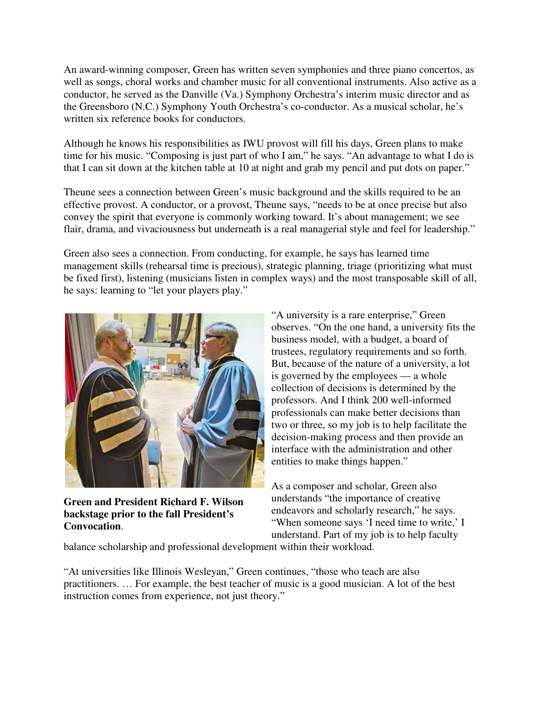An award-winning composer, Green has written seven symphonies and three piano concertos, as well as songs, choral works and chamber music for all conventional instruments. Also active as a conductor, he served as the Danville (Va.) Symphony Orchestra's interim music director and as the Greensboro (N.C.) Symphony Youth Orchestra's co-conductor. As a musical scholar, he's written six reference books for conductors.

Although he knows his responsibilities as IWU provost will fill his days, Green plans to make time for his music. "Composing is just part of who I am," he says. "An advantage to what I do is that I can sit down at the kitchen table at 10 at night and grab my pencil and put dots on paper."

Theune sees a connection between Green's music background and the skills required to be an effective provost. A conductor, or a provost, Theune says, "needs to be at once precise but also convey the spirit that everyone is commonly working toward. It's about management; we see flair, drama, and vivaciousness but underneath is a real managerial style and feel for leadership."

Green also sees a connection. From conducting, for example, he says has learned time management skills (rehearsal time is precious), strategic planning, triage (prioritizing what must be fixed first), listening (musicians listen in complex ways) and the most transposable skill of all, he says: learning to "let your players play."



**Green and President Richard F. Wilson backstage prior to the fall President's Convocation**.

"A university is a rare enterprise," Green observes. "On the one hand, a university fits the business model, with a budget, a board of trustees, regulatory requirements and so forth. But, because of the nature of a university, a lot is governed by the employees — a whole collection of decisions is determined by the professors. And I think 200 well-informed professionals can make better decisions than two or three, so my job is to help facilitate the decision-making process and then provide an interface with the administration and other entities to make things happen."

As a composer and scholar, Green also understands "the importance of creative endeavors and scholarly research," he says. "When someone says 'I need time to write,' I understand. Part of my job is to help faculty

balance scholarship and professional development within their workload.

"At universities like Illinois Wesleyan," Green continues, "those who teach are also practitioners. … For example, the best teacher of music is a good musician. A lot of the best instruction comes from experience, not just theory."